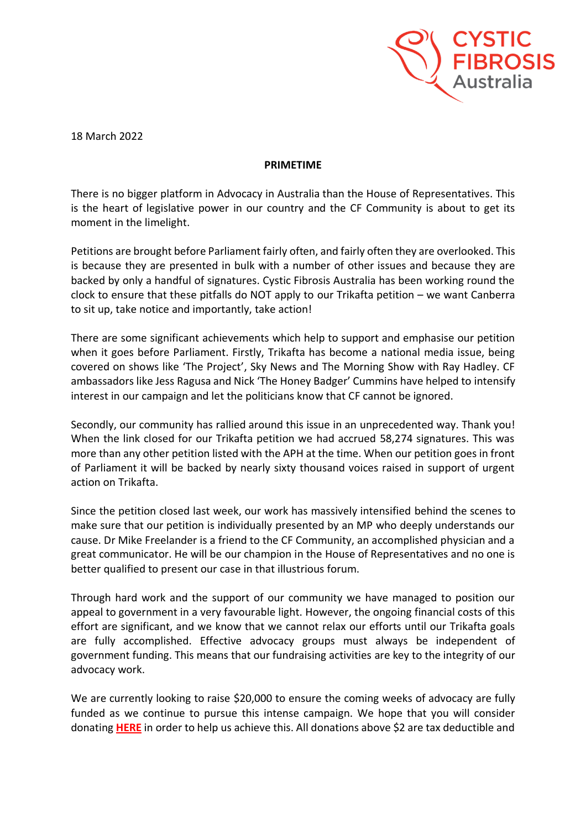

18 March 2022

## **PRIMETIME**

There is no bigger platform in Advocacy in Australia than the House of Representatives. This is the heart of legislative power in our country and the CF Community is about to get its moment in the limelight.

Petitions are brought before Parliament fairly often, and fairly often they are overlooked. This is because they are presented in bulk with a number of other issues and because they are backed by only a handful of signatures. Cystic Fibrosis Australia has been working round the clock to ensure that these pitfalls do NOT apply to our Trikafta petition – we want Canberra to sit up, take notice and importantly, take action!

There are some significant achievements which help to support and emphasise our petition when it goes before Parliament. Firstly, Trikafta has become a national media issue, being covered on shows like 'The Project', Sky News and The Morning Show with Ray Hadley. CF ambassadors like Jess Ragusa and Nick 'The Honey Badger' Cummins have helped to intensify interest in our campaign and let the politicians know that CF cannot be ignored.

Secondly, our community has rallied around this issue in an unprecedented way. Thank you! When the link closed for our Trikafta petition we had accrued 58,274 signatures. This was more than any other petition listed with the APH at the time. When our petition goes in front of Parliament it will be backed by nearly sixty thousand voices raised in support of urgent action on Trikafta.

Since the petition closed last week, our work has massively intensified behind the scenes to make sure that our petition is individually presented by an MP who deeply understands our cause. Dr Mike Freelander is a friend to the CF Community, an accomplished physician and a great communicator. He will be our champion in the House of Representatives and no one is better qualified to present our case in that illustrious forum.

Through hard work and the support of our community we have managed to position our appeal to government in a very favourable light. However, the ongoing financial costs of this effort are significant, and we know that we cannot relax our efforts until our Trikafta goals are fully accomplished. Effective advocacy groups must always be independent of government funding. This means that our fundraising activities are key to the integrity of our advocacy work.

We are currently looking to raise \$20,000 to ensure the coming weeks of advocacy are fully funded as we continue to pursue this intense campaign. We hope that you will consider donating **[HERE](https://cysticfibrosis.grassrootz.com/timefortrikafta)** in order to help us achieve this. All donations above \$2 are tax deductible and